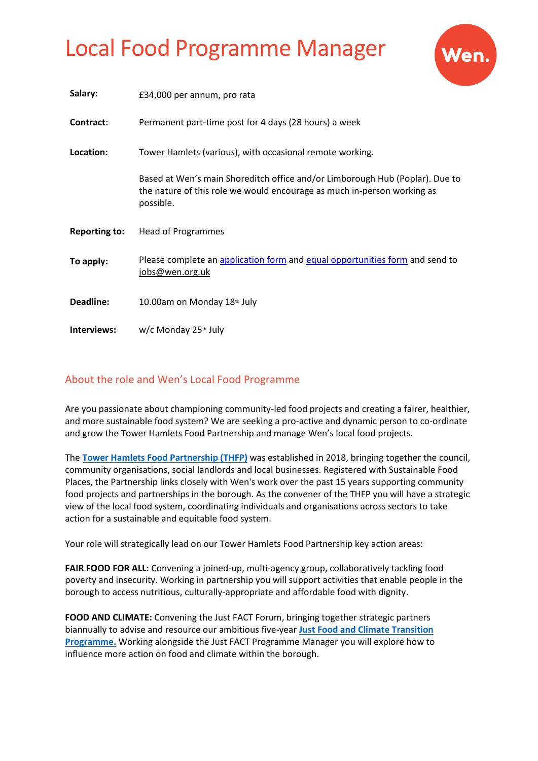

| Salary:              | £34,000 per annum, pro rata                                                                                                                                          |
|----------------------|----------------------------------------------------------------------------------------------------------------------------------------------------------------------|
| Contract:            | Permanent part-time post for 4 days (28 hours) a week                                                                                                                |
| Location:            | Tower Hamlets (various), with occasional remote working.                                                                                                             |
|                      | Based at Wen's main Shoreditch office and/or Limborough Hub (Poplar). Due to<br>the nature of this role we would encourage as much in-person working as<br>possible. |
| <b>Reporting to:</b> | <b>Head of Programmes</b>                                                                                                                                            |
| To apply:            | Please complete an application form and equal opportunities form and send to<br>jobs@wen.org.uk                                                                      |
| Deadline:            |                                                                                                                                                                      |
|                      | 10.00am on Monday 18th July                                                                                                                                          |

### About the role and Wen's Local Food Programme

Are you passionate about championing community-led food projects and creating a fairer, healthier, and more sustainable food system? We are seeking a pro-active and dynamic person to co-ordinate and grow the Tower Hamlets Food Partnership and manage Wen's local food projects.

The **[Tower Hamlets Food Partnership \(THFP\)](https://www.wen.org.uk/2020/11/24/the-tower-hamlets-food-partnership-our-approach/)** was established in 2018, bringing together the council, community organisations, social landlords and local businesses. Registered with Sustainable Food Places, the Partnership links closely with Wen's work over the past 15 years supporting community food projects and partnerships in the borough. As the convener of the THFP you will have a strategic view of the local food system, coordinating individuals and organisations across sectors to take action for a sustainable and equitable food system.

Your role will strategically lead on our Tower Hamlets Food Partnership key action areas:

**FAIR FOOD FOR ALL:** Convening a joined-up, multi-agency group, collaboratively tackling food poverty and insecurity. Working in partnership you will support activities that enable people in the borough to access nutritious, culturally-appropriate and affordable food with dignity.

**FOOD AND CLIMATE:** Convening the Just FACT Forum, bringing together strategic partners biannually to advise and resource our ambitious five-year **[Just Food and Climate Transition](https://www.wen.org.uk/just-fact/#:~:text=JUST%20FACT%20%2D%20A%20JUST%20FOOD,socially%20just%20urban%20food%20system.)  [Programme.](https://www.wen.org.uk/just-fact/#:~:text=JUST%20FACT%20%2D%20A%20JUST%20FOOD,socially%20just%20urban%20food%20system.)** Working alongside the Just FACT Programme Manager you will explore how to influence more action on food and climate within the borough.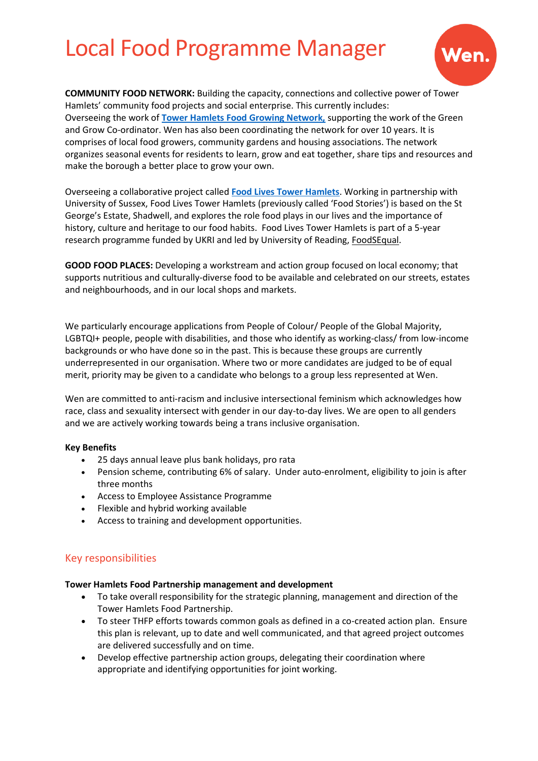

**COMMUNITY FOOD NETWORK:** Building the capacity, connections and collective power of Tower Hamlets' community food projects and social enterprise. This currently includes: Overseeing the work of **[Tower Hamlets Food Growing Network,](https://www.wen.org.uk/foodgrowers/)** supporting the work of the Green and Grow Co-ordinator. Wen has also been coordinating the network for over 10 years. It is comprises of local food growers, community gardens and housing associations. The network organizes seasonal events for residents to learn, grow and eat together, share tips and resources and make the borough a better place to grow your own.

Overseeing a collaborative project called **[Food Lives Tower Hamlets](https://www.wen.org.uk/2022/03/29/food-stories-tower-hamlets-towards-a-fairer-food-system/)**. Working in partnership with University of Sussex, Food Lives Tower Hamlets (previously called 'Food Stories') is based on the St George's Estate, Shadwell, and explores the role food plays in our lives and the importance of history, culture and heritage to our food habits.  Food Lives Tower Hamlets is part of a 5-year research programme funded by UKRI and led by University of Reading, [FoodSEqual.](https://research.reading.ac.uk/food-system-equality/)

**GOOD FOOD PLACES:** Developing a workstream and action group focused on local economy; that supports nutritious and culturally-diverse food to be available and celebrated on our streets, estates and neighbourhoods, and in our local shops and markets.

We particularly encourage applications from People of Colour/ People of the Global Majority, LGBTQI+ people, people with disabilities, and those who identify as working-class/ from low-income backgrounds or who have done so in the past. This is because these groups are currently underrepresented in our organisation. Where two or more candidates are judged to be of equal merit, priority may be given to a candidate who belongs to a group less represented at Wen.

Wen are committed to anti-racism and inclusive intersectional feminism which acknowledges how race, class and sexuality intersect with gender in our day-to-day lives. We are open to all genders and we are actively working towards being a trans inclusive organisation.

#### **Key Benefits**

- 25 days annual leave plus bank holidays, pro rata
- Pension scheme, contributing 6% of salary. Under auto-enrolment, eligibility to join is after three months
- Access to Employee Assistance Programme
- Flexible and hybrid working available
- Access to training and development opportunities.

#### Key responsibilities

#### **Tower Hamlets Food Partnership management and development**

- To take overall responsibility for the strategic planning, management and direction of the Tower Hamlets Food Partnership.
- To steer THFP efforts towards common goals as defined in a co-created action plan. Ensure this plan is relevant, up to date and well communicated, and that agreed project outcomes are delivered successfully and on time.
- Develop effective partnership action groups, delegating their coordination where appropriate and identifying opportunities for joint working.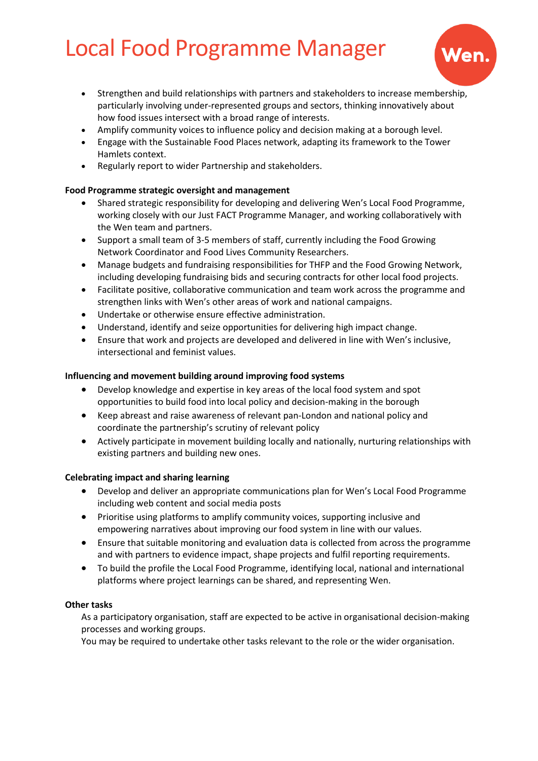

- Strengthen and build relationships with partners and stakeholders to increase membership, particularly involving under-represented groups and sectors, thinking innovatively about how food issues intersect with a broad range of interests.
- Amplify community voices to influence policy and decision making at a borough level.
- Engage with the Sustainable Food Places network, adapting its framework to the Tower Hamlets context.
- Regularly report to wider Partnership and stakeholders.

#### **Food Programme strategic oversight and management**

- Shared strategic responsibility for developing and delivering Wen's Local Food Programme, working closely with our Just FACT Programme Manager, and working collaboratively with the Wen team and partners.
- Support a small team of 3-5 members of staff, currently including the Food Growing Network Coordinator and Food Lives Community Researchers.
- Manage budgets and fundraising responsibilities for THFP and the Food Growing Network, including developing fundraising bids and securing contracts for other local food projects.
- Facilitate positive, collaborative communication and team work across the programme and strengthen links with Wen's other areas of work and national campaigns.
- Undertake or otherwise ensure effective administration.
- Understand, identify and seize opportunities for delivering high impact change.
- Ensure that work and projects are developed and delivered in line with Wen's inclusive, intersectional and feminist values.

#### **Influencing and movement building around improving food systems**

- Develop knowledge and expertise in key areas of the local food system and spot opportunities to build food into local policy and decision-making in the borough
- Keep abreast and raise awareness of relevant pan-London and national policy and coordinate the partnership's scrutiny of relevant policy
- Actively participate in movement building locally and nationally, nurturing relationships with existing partners and building new ones.

#### **Celebrating impact and sharing learning**

- Develop and deliver an appropriate communications plan for Wen's Local Food Programme including web content and social media posts
- Prioritise using platforms to amplify community voices, supporting inclusive and empowering narratives about improving our food system in line with our values.
- Ensure that suitable monitoring and evaluation data is collected from across the programme and with partners to evidence impact, shape projects and fulfil reporting requirements.
- To build the profile the Local Food Programme, identifying local, national and international platforms where project learnings can be shared, and representing Wen.

#### **Other tasks**

As a participatory organisation, staff are expected to be active in organisational decision-making processes and working groups.

You may be required to undertake other tasks relevant to the role or the wider organisation.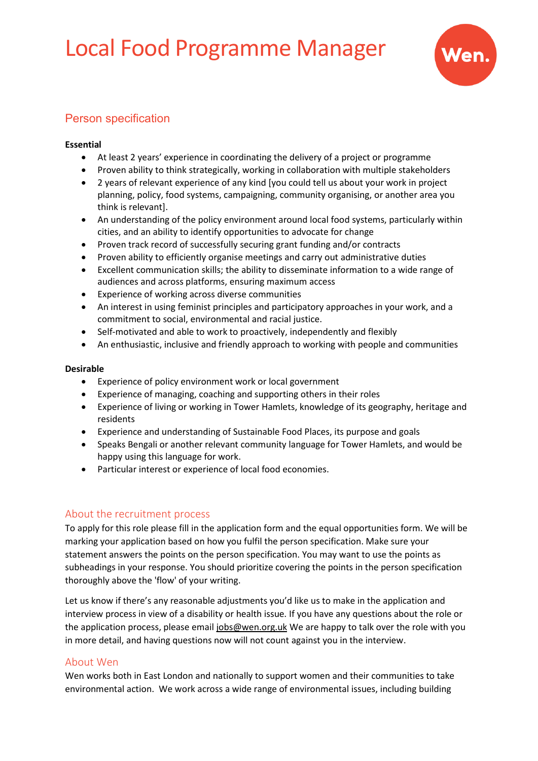

### Person specification

#### **Essential**

- At least 2 years' experience in coordinating the delivery of a project or programme
- Proven ability to think strategically, working in collaboration with multiple stakeholders
- 2 years of relevant experience of any kind [you could tell us about your work in project planning, policy, food systems, campaigning, community organising, or another area you think is relevant].
- An understanding of the policy environment around local food systems, particularly within cities, and an ability to identify opportunities to advocate for change
- Proven track record of successfully securing grant funding and/or contracts
- Proven ability to efficiently organise meetings and carry out administrative duties
- Excellent communication skills; the ability to disseminate information to a wide range of audiences and across platforms, ensuring maximum access
- Experience of working across diverse communities
- An interest in using feminist principles and participatory approaches in your work, and a commitment to social, environmental and racial justice.
- Self-motivated and able to work to proactively, independently and flexibly
- An enthusiastic, inclusive and friendly approach to working with people and communities

#### **Desirable**

- Experience of policy environment work or local government
- Experience of managing, coaching and supporting others in their roles
- Experience of living or working in Tower Hamlets, knowledge of its geography, heritage and residents
- Experience and understanding of Sustainable Food Places, its purpose and goals
- Speaks Bengali or another relevant community language for Tower Hamlets, and would be happy using this language for work.
- Particular interest or experience of local food economies.

### About the recruitment process

To apply for this role please fill in the application form and the equal opportunities form. We will be marking your application based on how you fulfil the person specification. Make sure your statement answers the points on the person specification. You may want to use the points as subheadings in your response. You should prioritize covering the points in the person specification thoroughly above the 'flow' of your writing.

Let us know if there's any reasonable adjustments you'd like us to make in the application and interview process in view of a disability or health issue. If you have any questions about the role or the application process, please email [jobs@wen.org.uk](mailto:jobs@wen.org.uk) We are happy to talk over the role with you in more detail, and having questions now will not count against you in the interview.

### About Wen

Wen works both in East London and nationally to support women and their communities to take environmental action. We work across a wide range of environmental issues, including building